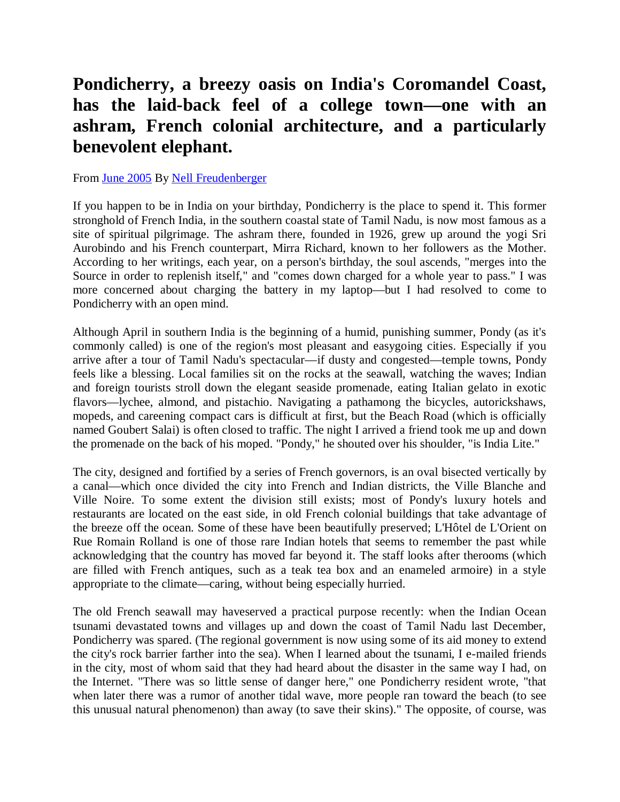## **Pondicherry, a breezy oasis on India's Coromandel Coast, has the laid-back feel of a college town—one with an ashram, French colonial architecture, and a particularly benevolent elephant.**

## From June 2005 By Nell Freudenberger

If you happen to be in India on your birthday, Pondicherry is the place to spend it. This former stronghold of French India, in the southern coastal state of Tamil Nadu, is now most famous as a site of spiritual pilgrimage. The ashram there, founded in 1926, grew up around the yogi Sri Aurobindo and his French counterpart, Mirra Richard, known to her followers as the Mother. According to her writings, each year, on a person's birthday, the soul ascends, "merges into the Source in order to replenish itself," and "comes down charged for a whole year to pass." I was more concerned about charging the battery in my laptop—but I had resolved to come to Pondicherry with an open mind.

Although April in southern India is the beginning of a humid, punishing summer, Pondy (as it's commonly called) is one of the region's most pleasant and easygoing cities. Especially if you arrive after a tour of Tamil Nadu's spectacular—if dusty and congested—temple towns, Pondy feels like a blessing. Local families sit on the rocks at the seawall, watching the waves; Indian and foreign tourists stroll down the elegant seaside promenade, eating Italian gelato in exotic flavors—lychee, almond, and pistachio. Navigating a pathamong the bicycles, autorickshaws, mopeds, and careening compact cars is difficult at first, but the Beach Road (which is officially named Goubert Salai) is often closed to traffic. The night I arrived a friend took me up and down the promenade on the back of his moped. "Pondy," he shouted over his shoulder, "is India Lite."

The city, designed and fortified by a series of French governors, is an oval bisected vertically by a canal—which once divided the city into French and Indian districts, the Ville Blanche and Ville Noire. To some extent the division still exists; most of Pondy's luxury hotels and restaurants are located on the east side, in old French colonial buildings that take advantage of the breeze off the ocean. Some of these have been beautifully preserved; L'Hôtel de L'Orient on Rue Romain Rolland is one of those rare Indian hotels that seems to remember the past while acknowledging that the country has moved far beyond it. The staff looks after therooms (which are filled with French antiques, such as a teak tea box and an enameled armoire) in a style appropriate to the climate—caring, without being especially hurried.

The old French seawall may haveserved a practical purpose recently: when the Indian Ocean tsunami devastated towns and villages up and down the coast of Tamil Nadu last December, Pondicherry was spared. (The regional government is now using some of its aid money to extend the city's rock barrier farther into the sea). When I learned about the tsunami, I e-mailed friends in the city, most of whom said that they had heard about the disaster in the same way I had, on the Internet. "There was so little sense of danger here," one Pondicherry resident wrote, "that when later there was a rumor of another tidal wave, more people ran toward the beach (to see this unusual natural phenomenon) than away (to save their skins)." The opposite, of course, was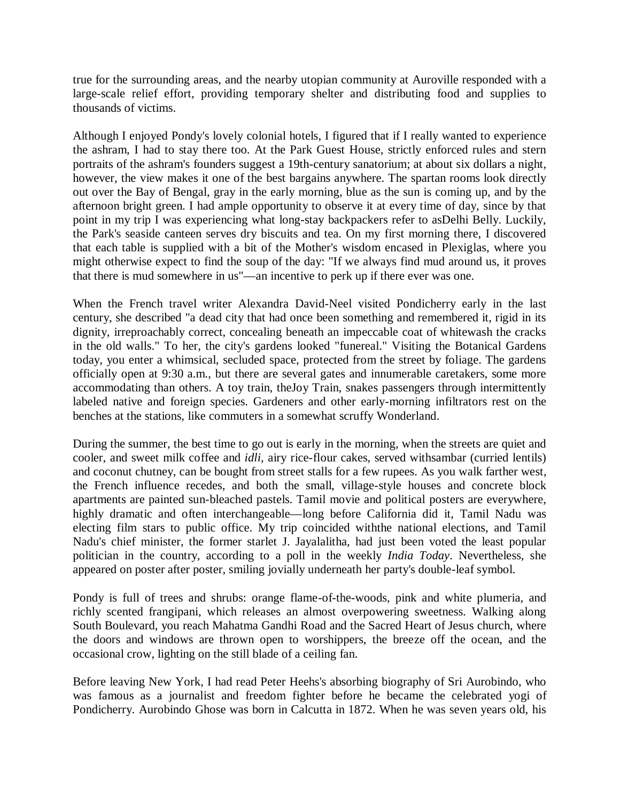true for the surrounding areas, and the nearby utopian community at Auroville responded with a large-scale relief effort, providing temporary shelter and distributing food and supplies to thousands of victims.

Although I enjoyed Pondy's lovely colonial hotels, I figured that if I really wanted to experience the ashram, I had to stay there too. At the Park Guest House, strictly enforced rules and stern portraits of the ashram's founders suggest a 19th-century sanatorium; at about six dollars a night, however, the view makes it one of the best bargains anywhere. The spartan rooms look directly out over the Bay of Bengal, gray in the early morning, blue as the sun is coming up, and by the afternoon bright green. I had ample opportunity to observe it at every time of day, since by that point in my trip I was experiencing what long-stay backpackers refer to asDelhi Belly. Luckily, the Park's seaside canteen serves dry biscuits and tea. On my first morning there, I discovered that each table is supplied with a bit of the Mother's wisdom encased in Plexiglas, where you might otherwise expect to find the soup of the day: "If we always find mud around us, it proves that there is mud somewhere in us"—an incentive to perk up if there ever was one.

When the French travel writer Alexandra David-Neel visited Pondicherry early in the last century, she described "a dead city that had once been something and remembered it, rigid in its dignity, irreproachably correct, concealing beneath an impeccable coat of whitewash the cracks in the old walls." To her, the city's gardens looked "funereal." Visiting the Botanical Gardens today, you enter a whimsical, secluded space, protected from the street by foliage. The gardens officially open at 9:30 a.m., but there are several gates and innumerable caretakers, some more accommodating than others. A toy train, theJoy Train, snakes passengers through intermittently labeled native and foreign species. Gardeners and other early-morning infiltrators rest on the benches at the stations, like commuters in a somewhat scruffy Wonderland.

During the summer, the best time to go out is early in the morning, when the streets are quiet and cooler, and sweet milk coffee and *idli,* airy rice-flour cakes, served withsambar (curried lentils) and coconut chutney, can be bought from street stalls for a few rupees. As you walk farther west, the French influence recedes, and both the small, village-style houses and concrete block apartments are painted sun-bleached pastels. Tamil movie and political posters are everywhere, highly dramatic and often interchangeable—long before California did it, Tamil Nadu was electing film stars to public office. My trip coincided withthe national elections, and Tamil Nadu's chief minister, the former starlet J. Jayalalitha, had just been voted the least popular politician in the country, according to a poll in the weekly *India Today*. Nevertheless, she appeared on poster after poster, smiling jovially underneath her party's double-leaf symbol.

Pondy is full of trees and shrubs: orange flame-of-the-woods, pink and white plumeria, and richly scented frangipani, which releases an almost overpowering sweetness. Walking along South Boulevard, you reach Mahatma Gandhi Road and the Sacred Heart of Jesus church, where the doors and windows are thrown open to worshippers, the breeze off the ocean, and the occasional crow, lighting on the still blade of a ceiling fan.

Before leaving New York, I had read Peter Heehs's absorbing biography of Sri Aurobindo, who was famous as a journalist and freedom fighter before he became the celebrated yogi of Pondicherry. Aurobindo Ghose was born in Calcutta in 1872. When he was seven years old, his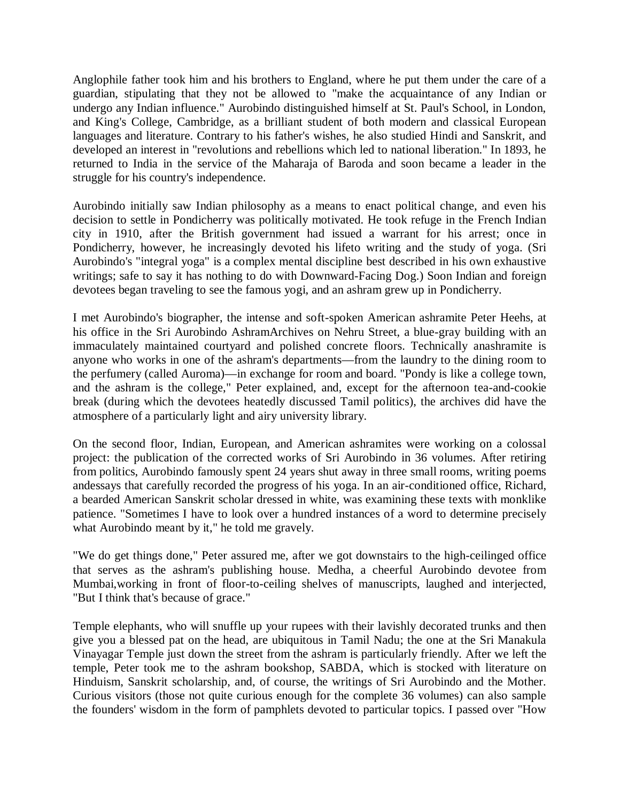Anglophile father took him and his brothers to England, where he put them under the care of a guardian, stipulating that they not be allowed to "make the acquaintance of any Indian or undergo any Indian influence." Aurobindo distinguished himself at St. Paul's School, in London, and King's College, Cambridge, as a brilliant student of both modern and classical European languages and literature. Contrary to his father's wishes, he also studied Hindi and Sanskrit, and developed an interest in "revolutions and rebellions which led to national liberation." In 1893, he returned to India in the service of the Maharaja of Baroda and soon became a leader in the struggle for his country's independence.

Aurobindo initially saw Indian philosophy as a means to enact political change, and even his decision to settle in Pondicherry was politically motivated. He took refuge in the French Indian city in 1910, after the British government had issued a warrant for his arrest; once in Pondicherry, however, he increasingly devoted his lifeto writing and the study of yoga. (Sri Aurobindo's "integral yoga" is a complex mental discipline best described in his own exhaustive writings; safe to say it has nothing to do with Downward-Facing Dog.) Soon Indian and foreign devotees began traveling to see the famous yogi, and an ashram grew up in Pondicherry.

I met Aurobindo's biographer, the intense and soft-spoken American ashramite Peter Heehs, at his office in the Sri Aurobindo AshramArchives on Nehru Street, a blue-gray building with an immaculately maintained courtyard and polished concrete floors. Technically anashramite is anyone who works in one of the ashram's departments—from the laundry to the dining room to the perfumery (called Auroma)—in exchange for room and board. "Pondy is like a college town, and the ashram is the college," Peter explained, and, except for the afternoon tea-and-cookie break (during which the devotees heatedly discussed Tamil politics), the archives did have the atmosphere of a particularly light and airy university library.

On the second floor, Indian, European, and American ashramites were working on a colossal project: the publication of the corrected works of Sri Aurobindo in 36 volumes. After retiring from politics, Aurobindo famously spent 24 years shut away in three small rooms, writing poems andessays that carefully recorded the progress of his yoga. In an air-conditioned office, Richard, a bearded American Sanskrit scholar dressed in white, was examining these texts with monklike patience. "Sometimes I have to look over a hundred instances of a word to determine precisely what Aurobindo meant by it," he told me gravely.

"We do get things done," Peter assured me, after we got downstairs to the high-ceilinged office that serves as the ashram's publishing house. Medha, a cheerful Aurobindo devotee from Mumbai,working in front of floor-to-ceiling shelves of manuscripts, laughed and interjected, "But I think that's because of grace."

Temple elephants, who will snuffle up your rupees with their lavishly decorated trunks and then give you a blessed pat on the head, are ubiquitous in Tamil Nadu; the one at the Sri Manakula Vinayagar Temple just down the street from the ashram is particularly friendly. After we left the temple, Peter took me to the ashram bookshop, SABDA, which is stocked with literature on Hinduism, Sanskrit scholarship, and, of course, the writings of Sri Aurobindo and the Mother. Curious visitors (those not quite curious enough for the complete 36 volumes) can also sample the founders' wisdom in the form of pamphlets devoted to particular topics. I passed over "How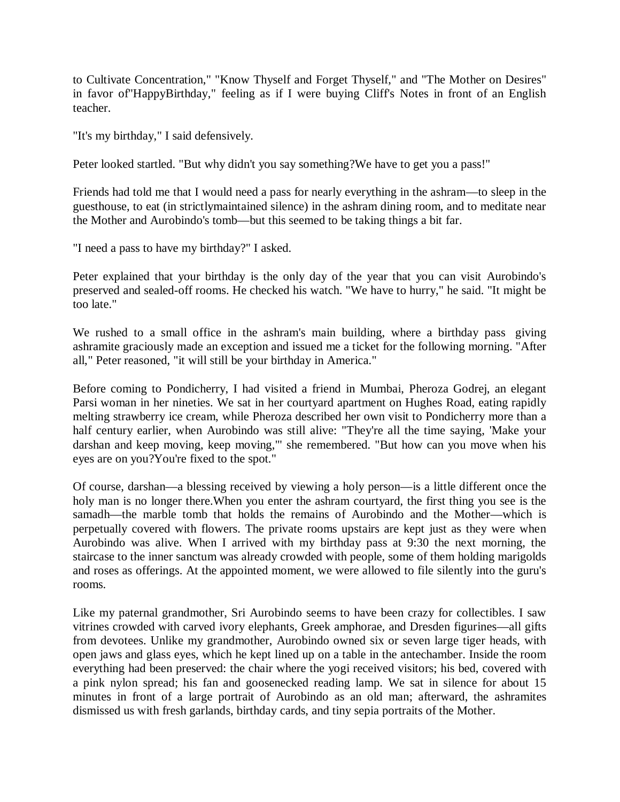to Cultivate Concentration," "Know Thyself and Forget Thyself," and "The Mother on Desires" in favor of"HappyBirthday," feeling as if I were buying Cliff's Notes in front of an English teacher.

"It's my birthday," I said defensively.

Peter looked startled. "But why didn't you say something?We have to get you a pass!"

Friends had told me that I would need a pass for nearly everything in the ashram—to sleep in the guesthouse, to eat (in strictlymaintained silence) in the ashram dining room, and to meditate near the Mother and Aurobindo's tomb—but this seemed to be taking things a bit far.

"I need a pass to have my birthday?" I asked.

Peter explained that your birthday is the only day of the year that you can visit Aurobindo's preserved and sealed-off rooms. He checked his watch. "We have to hurry," he said. "It might be too late."

We rushed to a small office in the ashram's main building, where a birthday pass giving ashramite graciously made an exception and issued me a ticket for the following morning. "After all," Peter reasoned, "it will still be your birthday in America."

Before coming to Pondicherry, I had visited a friend in Mumbai, Pheroza Godrej, an elegant Parsi woman in her nineties. We sat in her courtyard apartment on Hughes Road, eating rapidly melting strawberry ice cream, while Pheroza described her own visit to Pondicherry more than a half century earlier, when Aurobindo was still alive: "They're all the time saying, 'Make your darshan and keep moving, keep moving,'" she remembered. "But how can you move when his eyes are on you?You're fixed to the spot."

Of course, darshan—a blessing received by viewing a holy person—is a little different once the holy man is no longer there.When you enter the ashram courtyard, the first thing you see is the samadh—the marble tomb that holds the remains of Aurobindo and the Mother—which is perpetually covered with flowers. The private rooms upstairs are kept just as they were when Aurobindo was alive. When I arrived with my birthday pass at 9:30 the next morning, the staircase to the inner sanctum was already crowded with people, some of them holding marigolds and roses as offerings. At the appointed moment, we were allowed to file silently into the guru's rooms.

Like my paternal grandmother, Sri Aurobindo seems to have been crazy for collectibles. I saw vitrines crowded with carved ivory elephants, Greek amphorae, and Dresden figurines—all gifts from devotees. Unlike my grandmother, Aurobindo owned six or seven large tiger heads, with open jaws and glass eyes, which he kept lined up on a table in the antechamber. Inside the room everything had been preserved: the chair where the yogi received visitors; his bed, covered with a pink nylon spread; his fan and goosenecked reading lamp. We sat in silence for about 15 minutes in front of a large portrait of Aurobindo as an old man; afterward, the ashramites dismissed us with fresh garlands, birthday cards, and tiny sepia portraits of the Mother.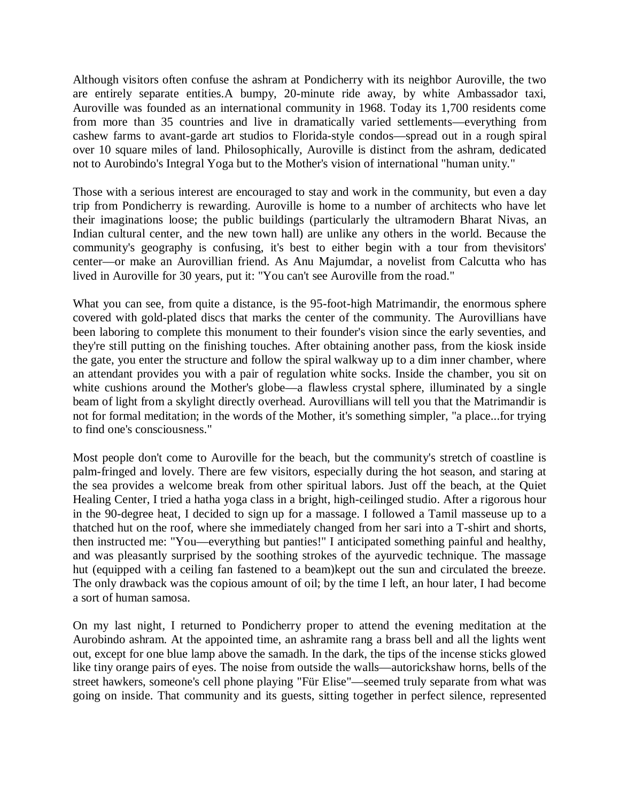Although visitors often confuse the ashram at Pondicherry with its neighbor Auroville, the two are entirely separate entities.A bumpy, 20-minute ride away, by white Ambassador taxi, Auroville was founded as an international community in 1968. Today its 1,700 residents come from more than 35 countries and live in dramatically varied settlements—everything from cashew farms to avant-garde art studios to Florida-style condos—spread out in a rough spiral over 10 square miles of land. Philosophically, Auroville is distinct from the ashram, dedicated not to Aurobindo's Integral Yoga but to the Mother's vision of international "human unity."

Those with a serious interest are encouraged to stay and work in the community, but even a day trip from Pondicherry is rewarding. Auroville is home to a number of architects who have let their imaginations loose; the public buildings (particularly the ultramodern Bharat Nivas, an Indian cultural center, and the new town hall) are unlike any others in the world. Because the community's geography is confusing, it's best to either begin with a tour from thevisitors' center—or make an Aurovillian friend. As Anu Majumdar, a novelist from Calcutta who has lived in Auroville for 30 years, put it: "You can't see Auroville from the road."

What you can see, from quite a distance, is the 95-foot-high Matrimandir, the enormous sphere covered with gold-plated discs that marks the center of the community. The Aurovillians have been laboring to complete this monument to their founder's vision since the early seventies, and they're still putting on the finishing touches. After obtaining another pass, from the kiosk inside the gate, you enter the structure and follow the spiral walkway up to a dim inner chamber, where an attendant provides you with a pair of regulation white socks. Inside the chamber, you sit on white cushions around the Mother's globe—a flawless crystal sphere, illuminated by a single beam of light from a skylight directly overhead. Aurovillians will tell you that the Matrimandir is not for formal meditation; in the words of the Mother, it's something simpler, "a place...for trying to find one's consciousness."

Most people don't come to Auroville for the beach, but the community's stretch of coastline is palm-fringed and lovely. There are few visitors, especially during the hot season, and staring at the sea provides a welcome break from other spiritual labors. Just off the beach, at the Quiet Healing Center, I tried a hatha yoga class in a bright, high-ceilinged studio. After a rigorous hour in the 90-degree heat, I decided to sign up for a massage. I followed a Tamil masseuse up to a thatched hut on the roof, where she immediately changed from her sari into a T-shirt and shorts, then instructed me: "You—everything but panties!" I anticipated something painful and healthy, and was pleasantly surprised by the soothing strokes of the ayurvedic technique. The massage hut (equipped with a ceiling fan fastened to a beam)kept out the sun and circulated the breeze. The only drawback was the copious amount of oil; by the time I left, an hour later, I had become a sort of human samosa.

On my last night, I returned to Pondicherry proper to attend the evening meditation at the Aurobindo ashram. At the appointed time, an ashramite rang a brass bell and all the lights went out, except for one blue lamp above the samadh. In the dark, the tips of the incense sticks glowed like tiny orange pairs of eyes. The noise from outside the walls—autorickshaw horns, bells of the street hawkers, someone's cell phone playing "Für Elise"—seemed truly separate from what was going on inside. That community and its guests, sitting together in perfect silence, represented